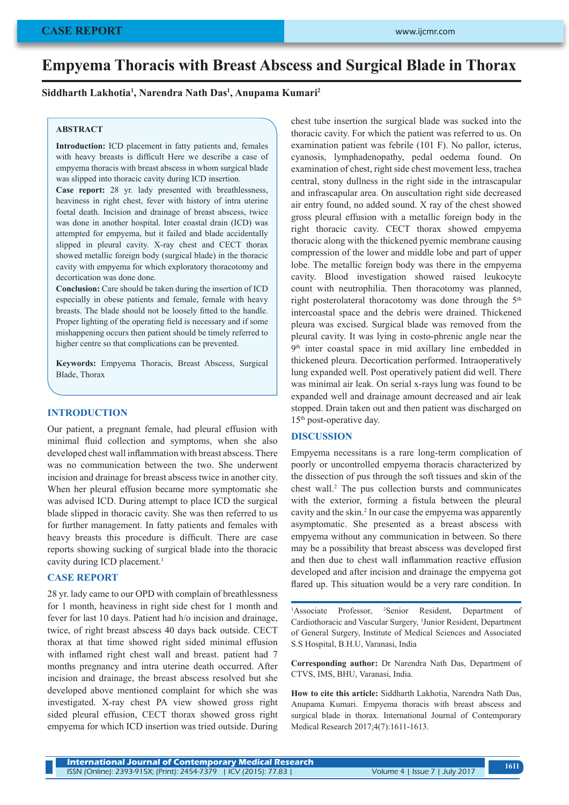# **Empyema Thoracis with Breast Abscess and Surgical Blade in Thorax**

#### **Siddharth Lakhotia1 , Narendra Nath Das1 , Anupama Kumari2**

#### **ABSTRACT**

**Introduction:** ICD placement in fatty patients and, females with heavy breasts is difficult Here we describe a case of empyema thoracis with breast abscess in whom surgical blade was slipped into thoracic cavity during ICD insertion.

**Case report:** 28 yr. lady presented with breathlessness, heaviness in right chest, fever with history of intra uterine foetal death. Incision and drainage of breast abscess, twice was done in another hospital. Inter coastal drain (ICD) was attempted for empyema, but it failed and blade accidentally slipped in pleural cavity. X-ray chest and CECT thorax showed metallic foreign body (surgical blade) in the thoracic cavity with empyema for which exploratory thoracotomy and decortication was done done.

**Conclusion:** Care should be taken during the insertion of ICD especially in obese patients and female, female with heavy breasts. The blade should not be loosely fitted to the handle. Proper lighting of the operating field is necessary and if some mishappening occurs then patient should be timely referred to higher centre so that complications can be prevented.

**Keywords:** Empyema Thoracis, Breast Abscess, Surgical Blade, Thorax

# **INTRODUCTION**

Our patient, a pregnant female, had pleural effusion with minimal fluid collection and symptoms, when she also developed chest wall inflammation with breast abscess. There was no communication between the two. She underwent incision and drainage for breast abscess twice in another city. When her pleural effusion became more symptomatic she was advised ICD. During attempt to place ICD the surgical blade slipped in thoracic cavity. She was then referred to us for further management. In fatty patients and females with heavy breasts this procedure is difficult. There are case reports showing sucking of surgical blade into the thoracic cavity during ICD placement.<sup>1</sup>

# **CASE REPORT**

28 yr. lady came to our OPD with complain of breathlessness for 1 month, heaviness in right side chest for 1 month and fever for last 10 days. Patient had h/o incision and drainage, twice, of right breast abscess 40 days back outside. CECT thorax at that time showed right sided minimal effusion with inflamed right chest wall and breast. patient had 7 months pregnancy and intra uterine death occurred. After incision and drainage, the breast abscess resolved but she developed above mentioned complaint for which she was investigated. X-ray chest PA view showed gross right sided pleural effusion, CECT thorax showed gross right empyema for which ICD insertion was tried outside. During chest tube insertion the surgical blade was sucked into the thoracic cavity. For which the patient was referred to us. On examination patient was febrile (101 F). No pallor, icterus, cyanosis, lymphadenopathy, pedal oedema found. On examination of chest, right side chest movement less, trachea central, stony dullness in the right side in the intrascapular and infrascapular area. On auscultation right side decreased air entry found, no added sound. X ray of the chest showed gross pleural effusion with a metallic foreign body in the right thoracic cavity. CECT thorax showed empyema thoracic along with the thickened pyemic membrane causing compression of the lower and middle lobe and part of upper lobe. The metallic foreign body was there in the empyema cavity. Blood investigation showed raised leukocyte count with neutrophilia. Then thoracotomy was planned, right posterolateral thoracotomy was done through the 5<sup>th</sup> intercoastal space and the debris were drained. Thickened pleura was excised. Surgical blade was removed from the pleural cavity. It was lying in costo-phrenic angle near the 9<sup>th</sup> inter coastal space in mid axillary line embedded in thickened pleura. Decortication performed. Intraoperatively lung expanded well. Post operatively patient did well. There was minimal air leak. On serial x-rays lung was found to be expanded well and drainage amount decreased and air leak stopped. Drain taken out and then patient was discharged on 15<sup>th</sup> post-operative day.

#### **DISCUSSION**

Empyema necessitans is a rare long-term complication of poorly or uncontrolled empyema thoracis characterized by the dissection of pus through the soft tissues and skin of the chest wall.<sup>2</sup> The pus collection bursts and communicates with the exterior, forming a fistula between the pleural cavity and the skin.<sup>2</sup> In our case the empyema was apparently asymptomatic. She presented as a breast abscess with empyema without any communication in between. So there may be a possibility that breast abscess was developed first and then due to chest wall inflammation reactive effusion developed and after incision and drainage the empyema got flared up. This situation would be a very rare condition. In

<sup>1</sup>Associate Professor, <sup>2</sup>Senior Resident, Department of Cardiothoracic and Vascular Surgery, <sup>3</sup> Junior Resident, Department of General Surgery, Institute of Medical Sciences and Associated S.S Hospital, B.H.U, Varanasi, India

**Corresponding author:** Dr Narendra Nath Das, Department of CTVS, IMS, BHU, Varanasi, India.

**How to cite this article:** Siddharth Lakhotia, Narendra Nath Das, Anupama Kumari. Empyema thoracis with breast abscess and surgical blade in thorax. International Journal of Contemporary Medical Research 2017;4(7):1611-1613.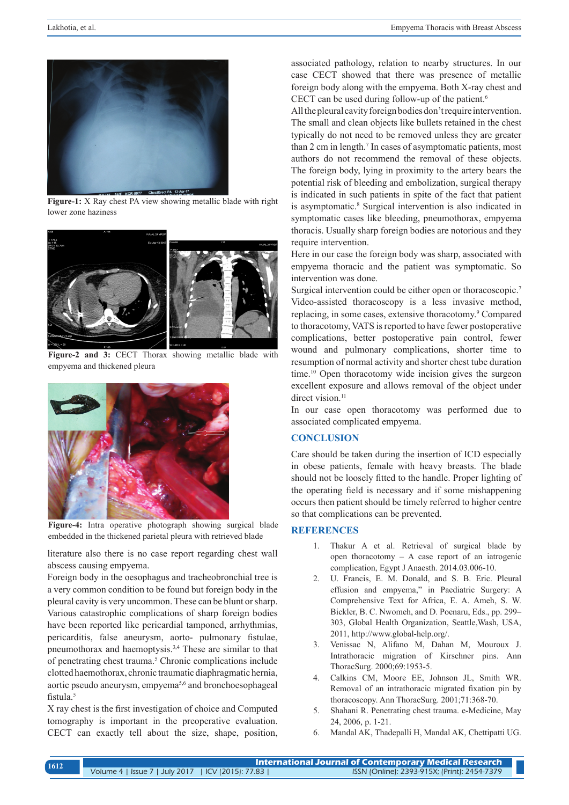

**Figure-1:** X Ray chest PA view showing metallic blade with right lower zone haziness



**Figure-2 and 3:** CECT Thorax showing metallic blade with empyema and thickened pleura



**Figure-4:** Intra operative photograph showing surgical blade embedded in the thickened parietal pleura with retrieved blade

literature also there is no case report regarding chest wall abscess causing empyema.

Foreign body in the oesophagus and tracheobronchial tree is a very common condition to be found but foreign body in the pleural cavity is very uncommon. These can be blunt or sharp. Various catastrophic complications of sharp foreign bodies have been reported like pericardial tamponed, arrhythmias, pericarditis, false aneurysm, aorto- pulmonary fistulae, pneumothorax and haemoptysis.3,4 These are similar to that of penetrating chest trauma.<sup>5</sup> Chronic complications include clotted haemothorax, chronic traumatic diaphragmatic hernia, aortic pseudo aneurysm, empyema<sup>5,6</sup> and bronchoesophageal fistula.<sup>5</sup>

X ray chest is the first investigation of choice and Computed tomography is important in the preoperative evaluation. CECT can exactly tell about the size, shape, position, associated pathology, relation to nearby structures. In our case CECT showed that there was presence of metallic foreign body along with the empyema. Both X-ray chest and CECT can be used during follow-up of the patient.<sup>6</sup>

All the pleural cavity foreign bodies don't require intervention. The small and clean objects like bullets retained in the chest typically do not need to be removed unless they are greater than 2 cm in length.<sup>7</sup> In cases of asymptomatic patients, most authors do not recommend the removal of these objects. The foreign body, lying in proximity to the artery bears the potential risk of bleeding and embolization, surgical therapy is indicated in such patients in spite of the fact that patient is asymptomatic.<sup>8</sup> Surgical intervention is also indicated in symptomatic cases like bleeding, pneumothorax, empyema thoracis. Usually sharp foreign bodies are notorious and they require intervention.

Here in our case the foreign body was sharp, associated with empyema thoracic and the patient was symptomatic. So intervention was done.

Surgical intervention could be either open or thoracoscopic.<sup>7</sup> Video-assisted thoracoscopy is a less invasive method, replacing, in some cases, extensive thoracotomy.<sup>9</sup> Compared to thoracotomy, VATS is reported to have fewer postoperative complications, better postoperative pain control, fewer wound and pulmonary complications, shorter time to resumption of normal activity and shorter chest tube duration time.<sup>10</sup> Open thoracotomy wide incision gives the surgeon excellent exposure and allows removal of the object under direct vision.<sup>11</sup>

In our case open thoracotomy was performed due to associated complicated empyema.

#### **CONCLUSION**

Care should be taken during the insertion of ICD especially in obese patients, female with heavy breasts. The blade should not be loosely fitted to the handle. Proper lighting of the operating field is necessary and if some mishappening occurs then patient should be timely referred to higher centre so that complications can be prevented.

# **REFERENCES**

- 1. Thakur A et al. Retrieval of surgical blade by open thoracotomy – A case report of an iatrogenic complication, Egypt J Anaesth. 2014.03.006-10.
- 2. U. Francis, E. M. Donald, and S. B. Eric. Pleural effusion and empyema," in Paediatric Surgery: A Comprehensive Text for Africa, E. A. Ameh, S. W. Bickler, B. C. Nwomeh, and D. Poenaru, Eds., pp. 299– 303, Global Health Organization, Seattle,Wash, USA, 2011, http://www.global-help.org/.
- 3. Venissac N, Alifano M, Dahan M, Mouroux J. Intrathoracic migration of Kirschner pins. Ann ThoracSurg. 2000;69:1953-5.
- 4. Calkins CM, Moore EE, Johnson JL, Smith WR. Removal of an intrathoracic migrated fixation pin by thoracoscopy. Ann ThoracSurg. 2001;71:368-70.
- 5. Shahani R. Penetrating chest trauma. e-Medicine, May 24, 2006, p. 1-21.
- 6. Mandal AK, Thadepalli H, Mandal AK, Chettipatti UG.